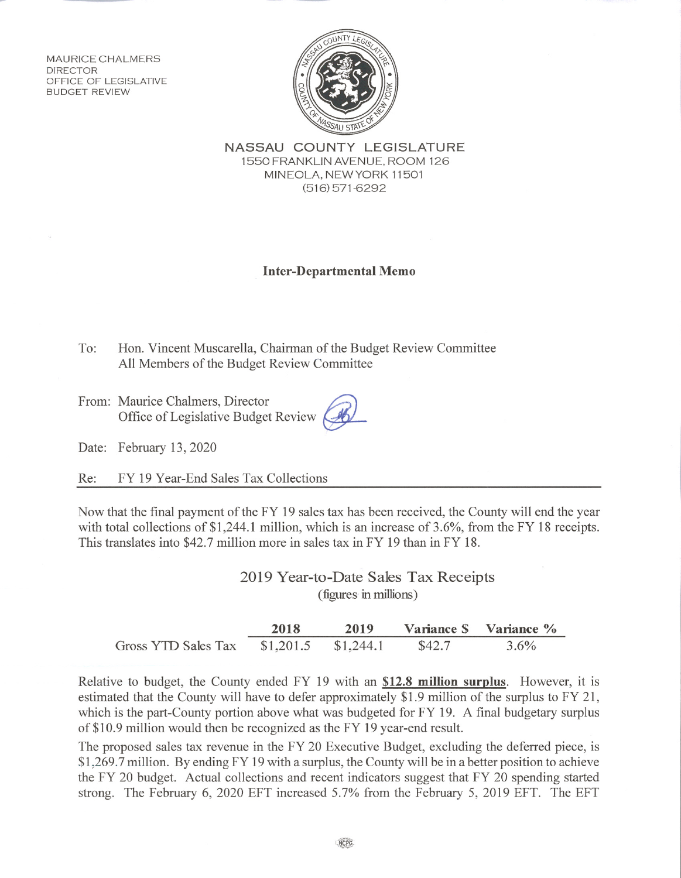MAURICE CHALMERS **DIRECTOR** OFFICE OF LEGISLATIVE **BUDGET REVIEW** 



NASSAU COUNTY LEGISLATURE 1550 FRANKLIN AVENUE, ROOM 126 MINEOLA, NEW YORK 11501  $(516)$  571-6292

## **Inter-Departmental Memo**

To: Hon. Vincent Muscarella, Chairman of the Budget Review Committee All Members of the Budget Review Committee

From: Maurice Chalmers, Director Office of Legislative Budget Review

Date: February 13, 2020

FY 19 Year-End Sales Tax Collections Re:

Now that the final payment of the FY 19 sales tax has been received, the County will end the year with total collections of \$1.244.1 million, which is an increase of  $3.6\%$ , from the FY 18 receipts. This translates into \$42.7 million more in sales tax in FY 19 than in FY 18.

> 2019 Year-to-Date Sales Tax Receipts (figures in millions)

|                     | 2018      | 2019      |        | Variance S Variance % |
|---------------------|-----------|-----------|--------|-----------------------|
| Gross YTD Sales Tax | \$1,201.5 | \$1,244.1 | \$42.7 | $3.6\%$               |

Relative to budget, the County ended FY 19 with an \$12.8 million surplus. However, it is estimated that the County will have to defer approximately \$1.9 million of the surplus to FY 21, which is the part-County portion above what was budgeted for FY 19. A final budgetary surplus of \$10.9 million would then be recognized as the FY 19 year-end result.

The proposed sales tax revenue in the FY 20 Executive Budget, excluding the deferred piece, is \$1,269.7 million. By ending FY 19 with a surplus, the County will be in a better position to achieve the FY 20 budget. Actual collections and recent indicators suggest that FY 20 spending started strong. The February 6, 2020 EFT increased 5.7% from the February 5, 2019 EFT. The EFT